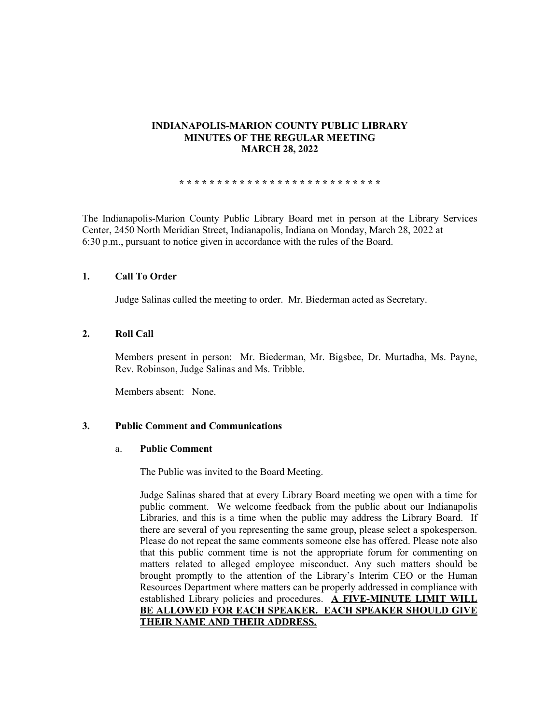# **INDIANAPOLIS-MARION COUNTY PUBLIC LIBRARY MINUTES OF THE REGULAR MEETING MARCH 28, 2022**

**\* \* \* \* \* \* \* \* \* \* \* \* \* \* \* \* \* \* \* \* \* \* \* \* \* \* \***

The Indianapolis-Marion County Public Library Board met in person at the Library Services Center, 2450 North Meridian Street, Indianapolis, Indiana on Monday, March 28, 2022 at 6:30 p.m., pursuant to notice given in accordance with the rules of the Board.

# **1. Call To Order**

Judge Salinas called the meeting to order. Mr. Biederman acted as Secretary.

# **2. Roll Call**

Members present in person: Mr. Biederman, Mr. Bigsbee, Dr. Murtadha, Ms. Payne, Rev. Robinson, Judge Salinas and Ms. Tribble.

Members absent: None.

### **3. Public Comment and Communications**

#### a. **Public Comment**

The Public was invited to the Board Meeting.

Judge Salinas shared that at every Library Board meeting we open with a time for public comment. We welcome feedback from the public about our Indianapolis Libraries, and this is a time when the public may address the Library Board. If there are several of you representing the same group, please select a spokesperson. Please do not repeat the same comments someone else has offered. Please note also that this public comment time is not the appropriate forum for commenting on matters related to alleged employee misconduct. Any such matters should be brought promptly to the attention of the Library's Interim CEO or the Human Resources Department where matters can be properly addressed in compliance with established Library policies and procedures. **A FIVE-MINUTE LIMIT WILL BE ALLOWED FOR EACH SPEAKER. EACH SPEAKER SHOULD GIVE THEIR NAME AND THEIR ADDRESS.**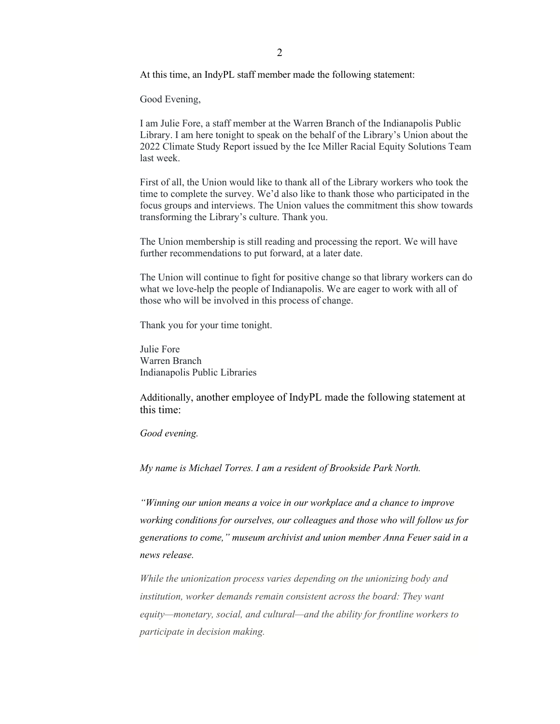Good Evening,

I am Julie Fore, a staff member at the Warren Branch of the Indianapolis Public Library. I am here tonight to speak on the behalf of the Library's Union about the 2022 Climate Study Report issued by the Ice Miller Racial Equity Solutions Team last week.

First of all, the Union would like to thank all of the Library workers who took the time to complete the survey. We'd also like to thank those who participated in the focus groups and interviews. The Union values the commitment this show towards transforming the Library's culture. Thank you.

The Union membership is still reading and processing the report. We will have further recommendations to put forward, at a later date.

The Union will continue to fight for positive change so that library workers can do what we love-help the people of Indianapolis. We are eager to work with all of those who will be involved in this process of change.

Thank you for your time tonight.

Julie Fore Warren Branch Indianapolis Public Libraries

Additionally, another employee of IndyPL made the following statement at this time:

*Good evening.* 

*My name is Michael Torres. I am a resident of Brookside Park North.* 

*"Winning our union means a voice in our workplace and a chance to improve working conditions for ourselves, our colleagues and those who will follow us for generations to come," museum archivist and union member Anna Feuer said in a news release.*

*While the unionization process varies depending on the unionizing body and institution, worker demands remain consistent across the board: They want equity—monetary, social, and cultural—and the ability for frontline workers to participate in decision making.*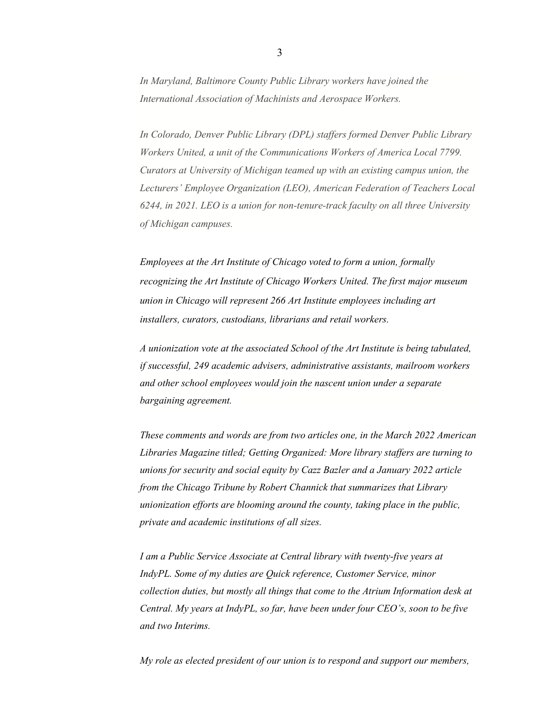*In Maryland, Baltimore County Public Library workers have joined the International Association of Machinists and Aerospace Workers.*

*In Colorado, Denver Public Library (DPL) staffers formed Denver Public Library Workers United, a unit of the Communications Workers of America Local 7799. Curators at University of Michigan teamed up with an existing campus union, the Lecturers' Employee Organization (LEO), American Federation of Teachers Local 6244, in 2021. LEO is a union for non-tenure-track faculty on all three University of Michigan campuses.*

*Employees at the Art Institute of Chicago voted to form a union, formally recognizing the Art Institute of Chicago Workers United. The first major museum union in Chicago will represent 266 Art Institute employees including art installers, curators, custodians, librarians and retail workers.*

*A unionization vote at the associated School of the Art Institute is being tabulated, if successful, 249 academic advisers, administrative assistants, mailroom workers and other school employees would join the nascent union under a separate bargaining agreement.*

*These comments and words are from two articles one, in the March 2022 American Libraries Magazine titled; Getting Organized: More library staffers are turning to unions for security and social equity by Cazz Bazler and a January 2022 article from the Chicago Tribune by Robert Channick that summarizes that Library unionization efforts are blooming around the county, taking place in the public, private and academic institutions of all sizes.*

*I am a Public Service Associate at Central library with twenty-five years at IndyPL. Some of my duties are Quick reference, Customer Service, minor collection duties, but mostly all things that come to the Atrium Information desk at Central. My years at IndyPL, so far, have been under four CEO's, soon to be five and two Interims.* 

*My role as elected president of our union is to respond and support our members,*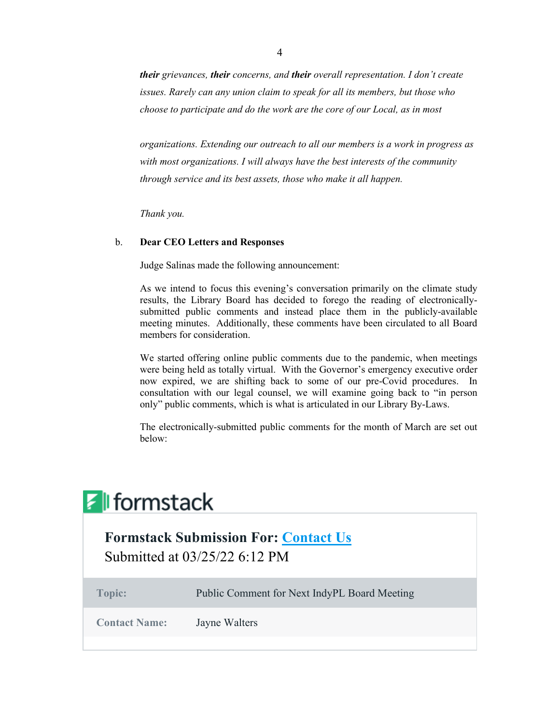*their grievances, their concerns, and their overall representation. I don't create issues. Rarely can any union claim to speak for all its members, but those who choose to participate and do the work are the core of our Local, as in most* 

*organizations. Extending our outreach to all our members is a work in progress as with most organizations. I will always have the best interests of the community through service and its best assets, those who make it all happen.*

*Thank you.*

# b. **Dear CEO Letters and Responses**

Judge Salinas made the following announcement:

As we intend to focus this evening's conversation primarily on the climate study results, the Library Board has decided to forego the reading of electronicallysubmitted public comments and instead place them in the publicly-available meeting minutes. Additionally, these comments have been circulated to all Board members for consideration.

We started offering online public comments due to the pandemic, when meetings were being held as totally virtual. With the Governor's emergency executive order now expired, we are shifting back to some of our pre-Covid procedures. In consultation with our legal counsel, we will examine going back to "in person only" public comments, which is what is articulated in our Library By-Laws.

The electronically-submitted public comments for the month of March are set out below:

| <b>Z</b> formstack<br><b>Formstack Submission For: Contact Us</b><br>Submitted at 03/25/22 6:12 PM |               |  |
|----------------------------------------------------------------------------------------------------|---------------|--|
|                                                                                                    |               |  |
| <b>Contact Name:</b>                                                                               | Jayne Walters |  |
|                                                                                                    |               |  |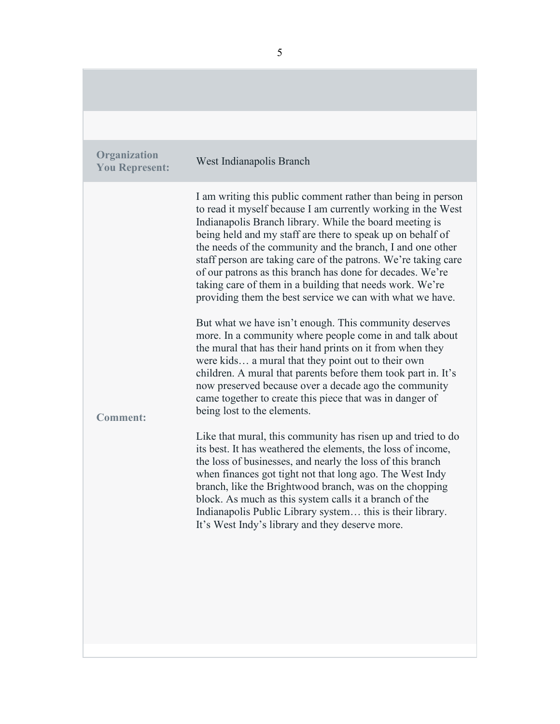**Organization You Represent:** West Indianapolis Branch **Comment:**  I am writing this public comment rather than being in person to read it myself because I am currently working in the West Indianapolis Branch library. While the board meeting is being held and my staff are there to speak up on behalf of the needs of the community and the branch, I and one other staff person are taking care of the patrons. We're taking care of our patrons as this branch has done for decades. We're taking care of them in a building that needs work. We're providing them the best service we can with what we have. But what we have isn't enough. This community deserves more. In a community where people come in and talk about the mural that has their hand prints on it from when they were kids… a mural that they point out to their own children. A mural that parents before them took part in. It's now preserved because over a decade ago the community came together to create this piece that was in danger of being lost to the elements. Like that mural, this community has risen up and tried to do its best. It has weathered the elements, the loss of income, the loss of businesses, and nearly the loss of this branch when finances got tight not that long ago. The West Indy branch, like the Brightwood branch, was on the chopping block. As much as this system calls it a branch of the Indianapolis Public Library system… this is their library. It's West Indy's library and they deserve more.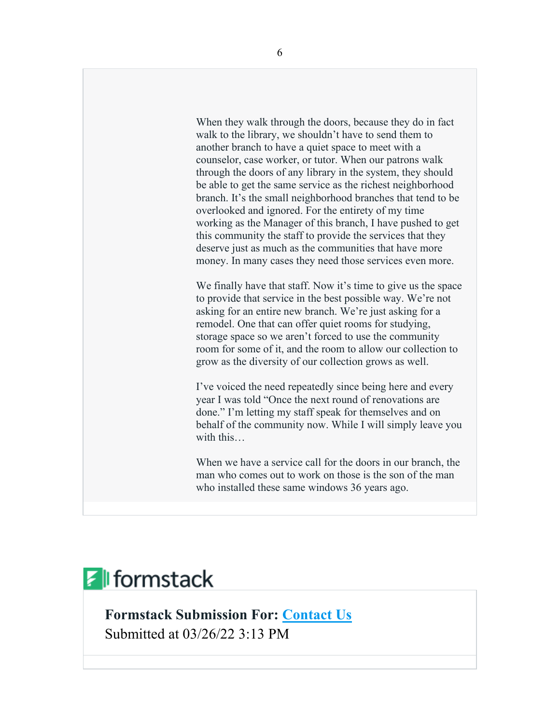When they walk through the doors, because they do in fact walk to the library, we shouldn't have to send them to another branch to have a quiet space to meet with a counselor, case worker, or tutor. When our patrons walk through the doors of any library in the system, they should be able to get the same service as the richest neighborhood branch. It's the small neighborhood branches that tend to be overlooked and ignored. For the entirety of my time working as the Manager of this branch, I have pushed to get this community the staff to provide the services that they deserve just as much as the communities that have more money. In many cases they need those services even more.

We finally have that staff. Now it's time to give us the space to provide that service in the best possible way. We're not asking for an entire new branch. We're just asking for a remodel. One that can offer quiet rooms for studying, storage space so we aren't forced to use the community room for some of it, and the room to allow our collection to grow as the diversity of our collection grows as well.

I've voiced the need repeatedly since being here and every year I was told "Once the next round of renovations are done." I'm letting my staff speak for themselves and on behalf of the community now. While I will simply leave you with this…

When we have a service call for the doors in our branch, the man who comes out to work on those is the son of the man who installed these same windows 36 years ago.

# $\mathcal{F}$  formstack

**Formstack Submission For: [Contact Us](https://indypl.formstack.com/forms/contact_us)** Submitted at 03/26/22 3:13 PM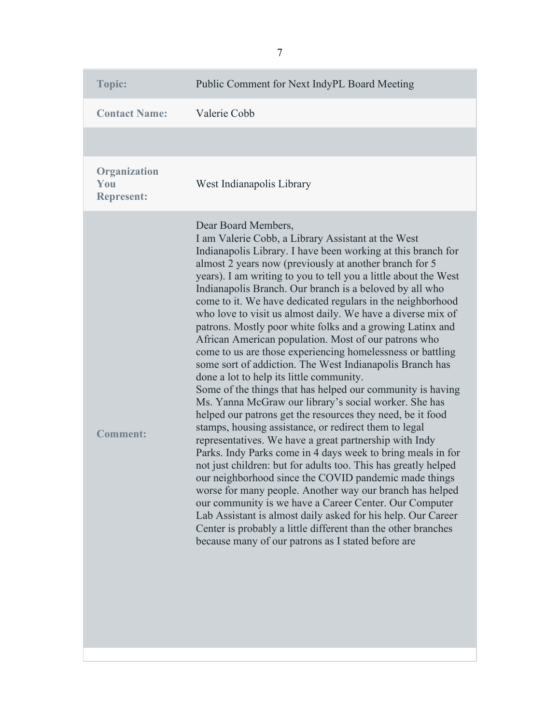| Topic:                                   | Public Comment for Next IndyPL Board Meeting                                                                                                                                                                                                                                                                                                                                                                                                                                                                                                                                                                                                                                                                                                                                                                                                                                                                                                                                                                                                                                                                                                                                                                                                                                                                                                                                                                                                                                                                                                                             |
|------------------------------------------|--------------------------------------------------------------------------------------------------------------------------------------------------------------------------------------------------------------------------------------------------------------------------------------------------------------------------------------------------------------------------------------------------------------------------------------------------------------------------------------------------------------------------------------------------------------------------------------------------------------------------------------------------------------------------------------------------------------------------------------------------------------------------------------------------------------------------------------------------------------------------------------------------------------------------------------------------------------------------------------------------------------------------------------------------------------------------------------------------------------------------------------------------------------------------------------------------------------------------------------------------------------------------------------------------------------------------------------------------------------------------------------------------------------------------------------------------------------------------------------------------------------------------------------------------------------------------|
| <b>Contact Name:</b>                     | Valerie Cobb                                                                                                                                                                                                                                                                                                                                                                                                                                                                                                                                                                                                                                                                                                                                                                                                                                                                                                                                                                                                                                                                                                                                                                                                                                                                                                                                                                                                                                                                                                                                                             |
|                                          |                                                                                                                                                                                                                                                                                                                                                                                                                                                                                                                                                                                                                                                                                                                                                                                                                                                                                                                                                                                                                                                                                                                                                                                                                                                                                                                                                                                                                                                                                                                                                                          |
| Organization<br>You<br><b>Represent:</b> | West Indianapolis Library                                                                                                                                                                                                                                                                                                                                                                                                                                                                                                                                                                                                                                                                                                                                                                                                                                                                                                                                                                                                                                                                                                                                                                                                                                                                                                                                                                                                                                                                                                                                                |
| <b>Comment:</b>                          | Dear Board Members,<br>I am Valerie Cobb, a Library Assistant at the West<br>Indianapolis Library. I have been working at this branch for<br>almost 2 years now (previously at another branch for 5<br>years). I am writing to you to tell you a little about the West<br>Indianapolis Branch. Our branch is a beloved by all who<br>come to it. We have dedicated regulars in the neighborhood<br>who love to visit us almost daily. We have a diverse mix of<br>patrons. Mostly poor white folks and a growing Latinx and<br>African American population. Most of our patrons who<br>come to us are those experiencing homelessness or battling<br>some sort of addiction. The West Indianapolis Branch has<br>done a lot to help its little community.<br>Some of the things that has helped our community is having<br>Ms. Yanna McGraw our library's social worker. She has<br>helped our patrons get the resources they need, be it food<br>stamps, housing assistance, or redirect them to legal<br>representatives. We have a great partnership with Indy<br>Parks. Indy Parks come in 4 days week to bring meals in for<br>not just children: but for adults too. This has greatly helped<br>our neighborhood since the COVID pandemic made things<br>worse for many people. Another way our branch has helped<br>our community is we have a Career Center. Our Computer<br>Lab Assistant is almost daily asked for his help. Our Career<br>Center is probably a little different than the other branches<br>because many of our patrons as I stated before are |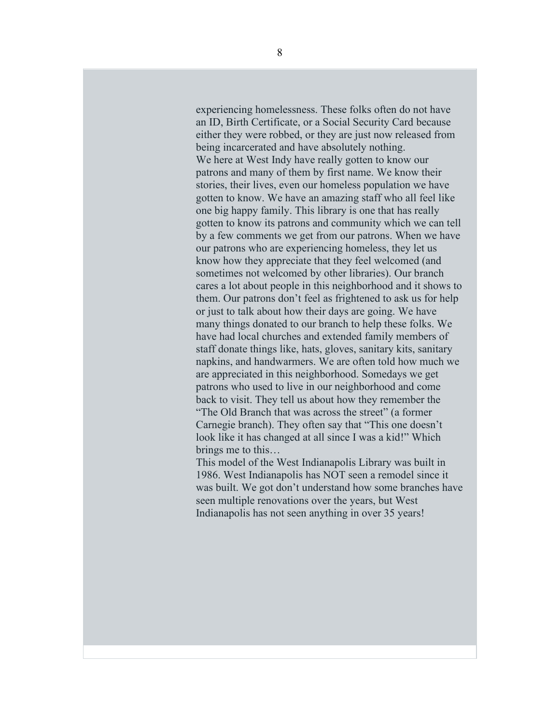experiencing homelessness. These folks often do not have an ID, Birth Certificate, or a Social Security Card because either they were robbed, or they are just now released from being incarcerated and have absolutely nothing. We here at West Indy have really gotten to know our patrons and many of them by first name. We know their stories, their lives, even our homeless population we have gotten to know. We have an amazing staff who all feel like one big happy family. This library is one that has really gotten to know its patrons and community which we can tell by a few comments we get from our patrons. When we have our patrons who are experiencing homeless, they let us know how they appreciate that they feel welcomed (and sometimes not welcomed by other libraries). Our branch cares a lot about people in this neighborhood and it shows to them. Our patrons don't feel as frightened to ask us for help or just to talk about how their days are going. We have many things donated to our branch to help these folks. We have had local churches and extended family members of staff donate things like, hats, gloves, sanitary kits, sanitary napkins, and handwarmers. We are often told how much we are appreciated in this neighborhood. Somedays we get patrons who used to live in our neighborhood and come back to visit. They tell us about how they remember the "The Old Branch that was across the street" (a former Carnegie branch). They often say that "This one doesn't look like it has changed at all since I was a kid!" Which brings me to this…

This model of the West Indianapolis Library was built in 1986. West Indianapolis has NOT seen a remodel since it was built. We got don't understand how some branches have seen multiple renovations over the years, but West Indianapolis has not seen anything in over 35 years!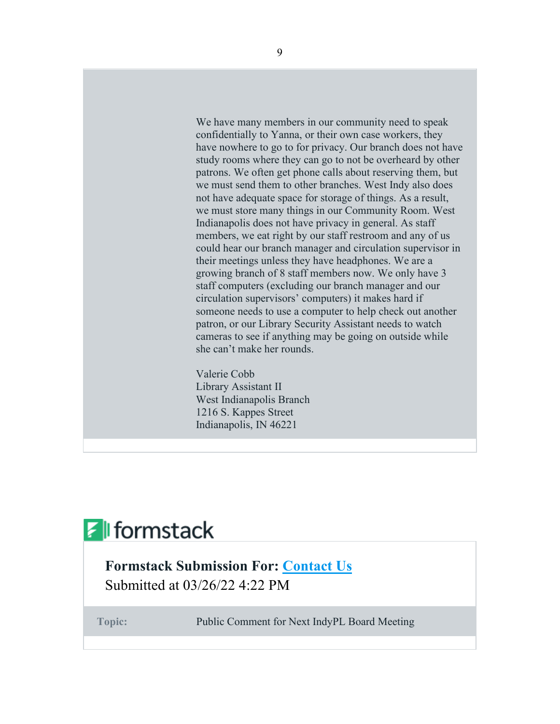We have many members in our community need to speak confidentially to Yanna, or their own case workers, they have nowhere to go to for privacy. Our branch does not have study rooms where they can go to not be overheard by other patrons. We often get phone calls about reserving them, but we must send them to other branches. West Indy also does not have adequate space for storage of things. As a result, we must store many things in our Community Room. West Indianapolis does not have privacy in general. As staff members, we eat right by our staff restroom and any of us could hear our branch manager and circulation supervisor in their meetings unless they have headphones. We are a growing branch of 8 staff members now. We only have 3 staff computers (excluding our branch manager and our circulation supervisors' computers) it makes hard if someone needs to use a computer to help check out another patron, or our Library Security Assistant needs to watch cameras to see if anything may be going on outside while she can't make her rounds.

Valerie Cobb Library Assistant II West Indianapolis Branch 1216 S. Kappes Street Indianapolis, IN 46221

# $\mathcal{F}$  formstack

# **Formstack Submission For: [Contact Us](https://indypl.formstack.com/forms/contact_us)** Submitted at 03/26/22 4:22 PM

**Topic:** Public Comment for Next IndyPL Board Meeting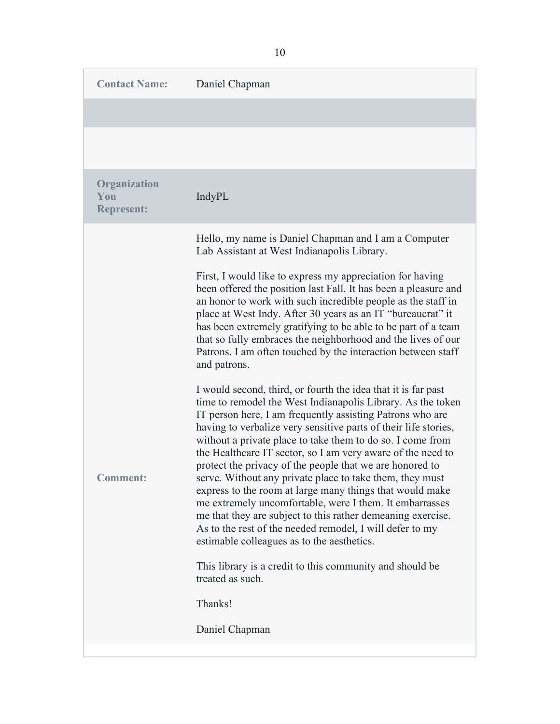| <b>Contact Name:</b>                     | Daniel Chapman                                                                                                                                                                                                                                                                                                                                                                                                                                                                                                                                                                                                                                                                                                                                                                                                                                                                                    |
|------------------------------------------|---------------------------------------------------------------------------------------------------------------------------------------------------------------------------------------------------------------------------------------------------------------------------------------------------------------------------------------------------------------------------------------------------------------------------------------------------------------------------------------------------------------------------------------------------------------------------------------------------------------------------------------------------------------------------------------------------------------------------------------------------------------------------------------------------------------------------------------------------------------------------------------------------|
|                                          |                                                                                                                                                                                                                                                                                                                                                                                                                                                                                                                                                                                                                                                                                                                                                                                                                                                                                                   |
|                                          |                                                                                                                                                                                                                                                                                                                                                                                                                                                                                                                                                                                                                                                                                                                                                                                                                                                                                                   |
| Organization<br>You<br><b>Represent:</b> | IndyPL                                                                                                                                                                                                                                                                                                                                                                                                                                                                                                                                                                                                                                                                                                                                                                                                                                                                                            |
|                                          | Hello, my name is Daniel Chapman and I am a Computer<br>Lab Assistant at West Indianapolis Library.                                                                                                                                                                                                                                                                                                                                                                                                                                                                                                                                                                                                                                                                                                                                                                                               |
|                                          | First, I would like to express my appreciation for having<br>been offered the position last Fall. It has been a pleasure and<br>an honor to work with such incredible people as the staff in<br>place at West Indy. After 30 years as an IT "bureaucrat" it<br>has been extremely gratifying to be able to be part of a team<br>that so fully embraces the neighborhood and the lives of our<br>Patrons. I am often touched by the interaction between staff<br>and patrons.                                                                                                                                                                                                                                                                                                                                                                                                                      |
| <b>Comment:</b>                          | I would second, third, or fourth the idea that it is far past<br>time to remodel the West Indianapolis Library. As the token<br>IT person here, I am frequently assisting Patrons who are<br>having to verbalize very sensitive parts of their life stories,<br>without a private place to take them to do so. I come from<br>the Healthcare IT sector, so I am very aware of the need to<br>protect the privacy of the people that we are honored to<br>serve. Without any private place to take them, they must<br>express to the room at large many things that would make<br>me extremely uncomfortable, were I them. It embarrasses<br>me that they are subject to this rather demeaning exercise.<br>As to the rest of the needed remodel, I will defer to my<br>estimable colleagues as to the aesthetics.<br>This library is a credit to this community and should be<br>treated as such. |
|                                          | Thanks!                                                                                                                                                                                                                                                                                                                                                                                                                                                                                                                                                                                                                                                                                                                                                                                                                                                                                           |
|                                          | Daniel Chapman                                                                                                                                                                                                                                                                                                                                                                                                                                                                                                                                                                                                                                                                                                                                                                                                                                                                                    |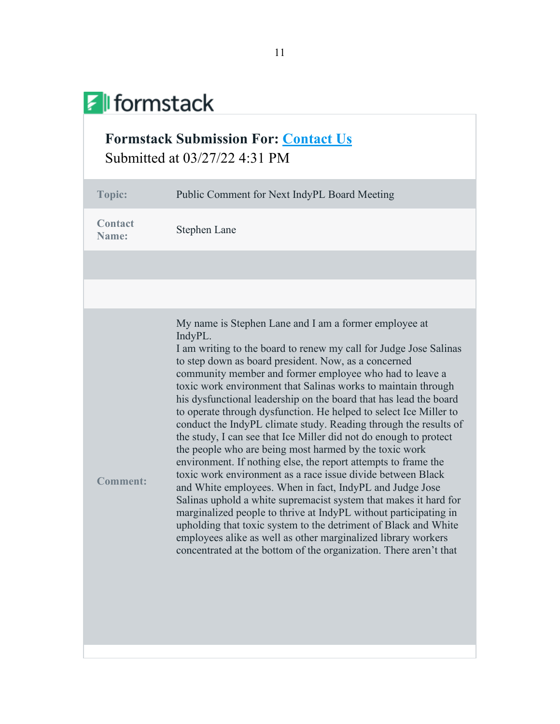# **F** formstack

# **Formstack Submission For: [Contact Us](https://indypl.formstack.com/forms/contact_us)** Submitted at 03/27/22 4:31 PM

| <b>Topic:</b>           | Public Comment for Next IndyPL Board Meeting                                                                                                                                                                                                                                                                                                                                                                                                                                                                                                                                                                                                                                                                                                                                                                                                                                                                                                                                                                                                                                                                                                                                                                         |
|-------------------------|----------------------------------------------------------------------------------------------------------------------------------------------------------------------------------------------------------------------------------------------------------------------------------------------------------------------------------------------------------------------------------------------------------------------------------------------------------------------------------------------------------------------------------------------------------------------------------------------------------------------------------------------------------------------------------------------------------------------------------------------------------------------------------------------------------------------------------------------------------------------------------------------------------------------------------------------------------------------------------------------------------------------------------------------------------------------------------------------------------------------------------------------------------------------------------------------------------------------|
| <b>Contact</b><br>Name: | Stephen Lane                                                                                                                                                                                                                                                                                                                                                                                                                                                                                                                                                                                                                                                                                                                                                                                                                                                                                                                                                                                                                                                                                                                                                                                                         |
|                         |                                                                                                                                                                                                                                                                                                                                                                                                                                                                                                                                                                                                                                                                                                                                                                                                                                                                                                                                                                                                                                                                                                                                                                                                                      |
|                         |                                                                                                                                                                                                                                                                                                                                                                                                                                                                                                                                                                                                                                                                                                                                                                                                                                                                                                                                                                                                                                                                                                                                                                                                                      |
| <b>Comment:</b>         | My name is Stephen Lane and I am a former employee at<br>IndyPL.<br>I am writing to the board to renew my call for Judge Jose Salinas<br>to step down as board president. Now, as a concerned<br>community member and former employee who had to leave a<br>toxic work environment that Salinas works to maintain through<br>his dysfunctional leadership on the board that has lead the board<br>to operate through dysfunction. He helped to select Ice Miller to<br>conduct the IndyPL climate study. Reading through the results of<br>the study, I can see that Ice Miller did not do enough to protect<br>the people who are being most harmed by the toxic work<br>environment. If nothing else, the report attempts to frame the<br>toxic work environment as a race issue divide between Black<br>and White employees. When in fact, IndyPL and Judge Jose<br>Salinas uphold a white supremacist system that makes it hard for<br>marginalized people to thrive at IndyPL without participating in<br>upholding that toxic system to the detriment of Black and White<br>employees alike as well as other marginalized library workers<br>concentrated at the bottom of the organization. There aren't that |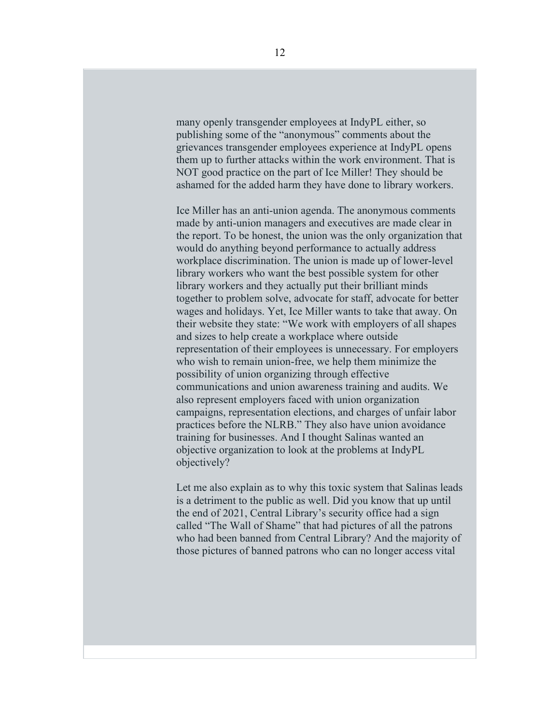many openly transgender employees at IndyPL either, so publishing some of the "anonymous" comments about the grievances transgender employees experience at IndyPL opens them up to further attacks within the work environment. That is NOT good practice on the part of Ice Miller! They should be ashamed for the added harm they have done to library workers.

Ice Miller has an anti-union agenda. The anonymous comments made by anti-union managers and executives are made clear in the report. To be honest, the union was the only organization that would do anything beyond performance to actually address workplace discrimination. The union is made up of lower-level library workers who want the best possible system for other library workers and they actually put their brilliant minds together to problem solve, advocate for staff, advocate for better wages and holidays. Yet, Ice Miller wants to take that away. On their website they state: "We work with employers of all shapes and sizes to help create a workplace where outside representation of their employees is unnecessary. For employers who wish to remain union-free, we help them minimize the possibility of union organizing through effective communications and union awareness training and audits. We also represent employers faced with union organization campaigns, representation elections, and charges of unfair labor practices before the NLRB." They also have union avoidance training for businesses. And I thought Salinas wanted an objective organization to look at the problems at IndyPL objectively?

Let me also explain as to why this toxic system that Salinas leads is a detriment to the public as well. Did you know that up until the end of 2021, Central Library's security office had a sign called "The Wall of Shame" that had pictures of all the patrons who had been banned from Central Library? And the majority of those pictures of banned patrons who can no longer access vital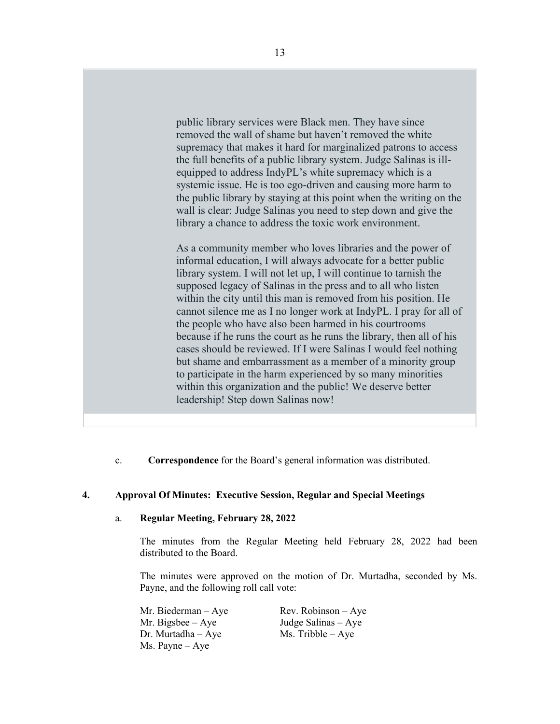public library services were Black men. They have since removed the wall of shame but haven't removed the white supremacy that makes it hard for marginalized patrons to access the full benefits of a public library system. Judge Salinas is illequipped to address IndyPL's white supremacy which is a systemic issue. He is too ego-driven and causing more harm to the public library by staying at this point when the writing on the wall is clear: Judge Salinas you need to step down and give the library a chance to address the toxic work environment.

As a community member who loves libraries and the power of informal education, I will always advocate for a better public library system. I will not let up, I will continue to tarnish the supposed legacy of Salinas in the press and to all who listen within the city until this man is removed from his position. He cannot silence me as I no longer work at IndyPL. I pray for all of the people who have also been harmed in his courtrooms because if he runs the court as he runs the library, then all of his cases should be reviewed. If I were Salinas I would feel nothing but shame and embarrassment as a member of a minority group to participate in the harm experienced by so many minorities within this organization and the public! We deserve better leadership! Step down Salinas now!

c. **Correspondence** for the Board's general information was distributed.

# **4. Approval Of Minutes: Executive Session, Regular and Special Meetings**

### a. **Regular Meeting, February 28, 2022**

The minutes from the Regular Meeting held February 28, 2022 had been distributed to the Board.

The minutes were approved on the motion of Dr. Murtadha, seconded by Ms. Payne, and the following roll call vote:

Mr. Biederman – Aye Rev. Robinson – Aye Mr. Bigsbee – Aye Judge Salinas – Aye Dr. Murtadha – Aye  $Ms$ . Tribble – Aye Ms. Payne – Aye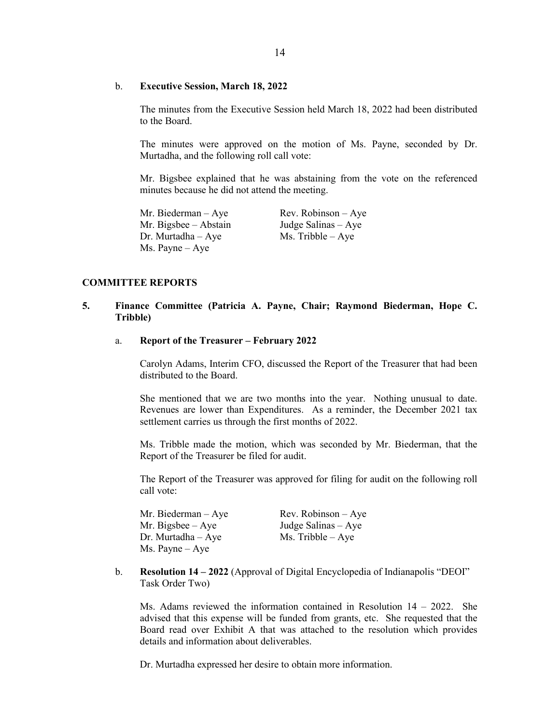#### b. **Executive Session, March 18, 2022**

The minutes from the Executive Session held March 18, 2022 had been distributed to the Board.

The minutes were approved on the motion of Ms. Payne, seconded by Dr. Murtadha, and the following roll call vote:

Mr. Bigsbee explained that he was abstaining from the vote on the referenced minutes because he did not attend the meeting.

Mr. Biederman – Aye Rev. Robinson – Aye Mr. Bigsbee – Abstain Judge Salinas – Aye<br>Dr. Murtadha – Aye Ms. Tribble – Aye Dr. Murtadha – Aye Ms. Payne – Aye

#### **COMMITTEE REPORTS**

### **5. Finance Committee (Patricia A. Payne, Chair; Raymond Biederman, Hope C. Tribble)**

#### a. **Report of the Treasurer – February 2022**

Carolyn Adams, Interim CFO, discussed the Report of the Treasurer that had been distributed to the Board.

She mentioned that we are two months into the year. Nothing unusual to date. Revenues are lower than Expenditures. As a reminder, the December 2021 tax settlement carries us through the first months of 2022.

Ms. Tribble made the motion, which was seconded by Mr. Biederman, that the Report of the Treasurer be filed for audit.

The Report of the Treasurer was approved for filing for audit on the following roll call vote:

Mr. Biederman – Aye Rev. Robinson – Aye Mr. Bigsbee –  $Aye$  Judge Salinas –  $Aye$ Dr. Murtadha – Aye Ms. Tribble – Aye Ms. Payne – Aye

b. **Resolution 14 – 2022** (Approval of Digital Encyclopedia of Indianapolis "DEOI" Task Order Two)

Ms. Adams reviewed the information contained in Resolution  $14 - 2022$ . She advised that this expense will be funded from grants, etc. She requested that the Board read over Exhibit A that was attached to the resolution which provides details and information about deliverables.

Dr. Murtadha expressed her desire to obtain more information.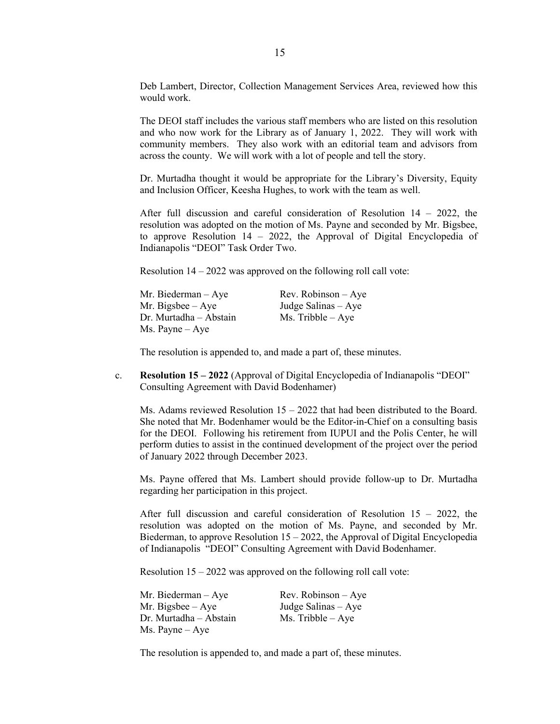Deb Lambert, Director, Collection Management Services Area, reviewed how this would work.

The DEOI staff includes the various staff members who are listed on this resolution and who now work for the Library as of January 1, 2022. They will work with community members. They also work with an editorial team and advisors from across the county. We will work with a lot of people and tell the story.

Dr. Murtadha thought it would be appropriate for the Library's Diversity, Equity and Inclusion Officer, Keesha Hughes, to work with the team as well.

After full discussion and careful consideration of Resolution 14 – 2022, the resolution was adopted on the motion of Ms. Payne and seconded by Mr. Bigsbee, to approve Resolution 14 – 2022, the Approval of Digital Encyclopedia of Indianapolis "DEOI" Task Order Two.

Resolution  $14 - 2022$  was approved on the following roll call vote:

| Mr. Biederman – Aye    | $Rev. Robinson - Aye$ |
|------------------------|-----------------------|
| Mr. Bigsbee – Aye      | Judge Salinas – Aye   |
| Dr. Murtadha – Abstain | $Ms.$ Tribble $-Aye$  |
| Ms. Payne – Aye        |                       |

The resolution is appended to, and made a part of, these minutes.

c. **Resolution 15 – 2022** (Approval of Digital Encyclopedia of Indianapolis "DEOI" Consulting Agreement with David Bodenhamer)

Ms. Adams reviewed Resolution  $15 - 2022$  that had been distributed to the Board. She noted that Mr. Bodenhamer would be the Editor-in-Chief on a consulting basis for the DEOI. Following his retirement from IUPUI and the Polis Center, he will perform duties to assist in the continued development of the project over the period of January 2022 through December 2023.

Ms. Payne offered that Ms. Lambert should provide follow-up to Dr. Murtadha regarding her participation in this project.

After full discussion and careful consideration of Resolution  $15 - 2022$ , the resolution was adopted on the motion of Ms. Payne, and seconded by Mr. Biederman, to approve Resolution 15 – 2022, the Approval of Digital Encyclopedia of Indianapolis "DEOI" Consulting Agreement with David Bodenhamer.

Resolution 15 – 2022 was approved on the following roll call vote:

| Mr. Biederman – Aye    | $Rev. Robinson - Aye$ |
|------------------------|-----------------------|
| Mr. Bigsbee – Aye      | Judge Salinas $-$ Aye |
| Dr. Murtadha – Abstain | $Ms.$ Tribble $-Aye$  |
| Ms. Payne – Aye        |                       |

The resolution is appended to, and made a part of, these minutes.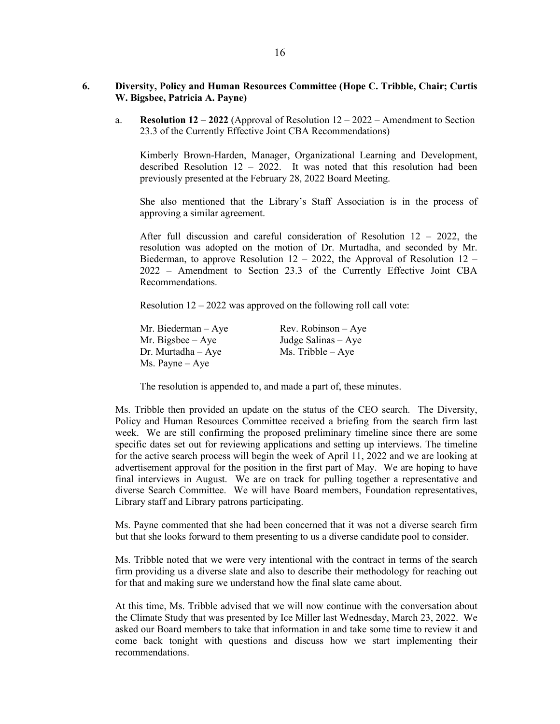# **6. Diversity, Policy and Human Resources Committee (Hope C. Tribble, Chair; Curtis W. Bigsbee, Patricia A. Payne)**

a. **Resolution 12 – 2022** (Approval of Resolution 12 – 2022 – Amendment to Section 23.3 of the Currently Effective Joint CBA Recommendations)

Kimberly Brown-Harden, Manager, Organizational Learning and Development, described Resolution 12 – 2022. It was noted that this resolution had been previously presented at the February 28, 2022 Board Meeting.

She also mentioned that the Library's Staff Association is in the process of approving a similar agreement.

After full discussion and careful consideration of Resolution 12 – 2022, the resolution was adopted on the motion of Dr. Murtadha, and seconded by Mr. Biederman, to approve Resolution 12 – 2022, the Approval of Resolution 12 – 2022 – Amendment to Section 23.3 of the Currently Effective Joint CBA Recommendations.

Resolution  $12 - 2022$  was approved on the following roll call vote:

| Mr. Biederman – Aye | $Rev. Robinson - Aye$ |
|---------------------|-----------------------|
| Mr. Bigsbee $-$ Aye | Judge Salinas – Aye   |
| Dr. Murtadha – Aye  | $Ms.$ Tribble $-$ Aye |
| Ms. Payne – Aye     |                       |

The resolution is appended to, and made a part of, these minutes.

Ms. Tribble then provided an update on the status of the CEO search. The Diversity, Policy and Human Resources Committee received a briefing from the search firm last week. We are still confirming the proposed preliminary timeline since there are some specific dates set out for reviewing applications and setting up interviews. The timeline for the active search process will begin the week of April 11, 2022 and we are looking at advertisement approval for the position in the first part of May. We are hoping to have final interviews in August. We are on track for pulling together a representative and diverse Search Committee. We will have Board members, Foundation representatives, Library staff and Library patrons participating.

Ms. Payne commented that she had been concerned that it was not a diverse search firm but that she looks forward to them presenting to us a diverse candidate pool to consider.

Ms. Tribble noted that we were very intentional with the contract in terms of the search firm providing us a diverse slate and also to describe their methodology for reaching out for that and making sure we understand how the final slate came about.

At this time, Ms. Tribble advised that we will now continue with the conversation about the Climate Study that was presented by Ice Miller last Wednesday, March 23, 2022. We asked our Board members to take that information in and take some time to review it and come back tonight with questions and discuss how we start implementing their recommendations.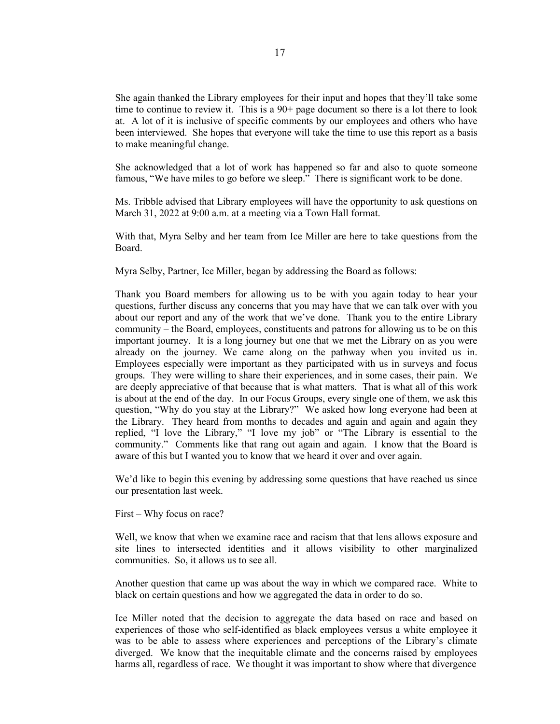She again thanked the Library employees for their input and hopes that they'll take some time to continue to review it. This is a  $90<sup>+</sup>$  page document so there is a lot there to look at. A lot of it is inclusive of specific comments by our employees and others who have been interviewed. She hopes that everyone will take the time to use this report as a basis to make meaningful change.

She acknowledged that a lot of work has happened so far and also to quote someone famous, "We have miles to go before we sleep." There is significant work to be done.

Ms. Tribble advised that Library employees will have the opportunity to ask questions on March 31, 2022 at 9:00 a.m. at a meeting via a Town Hall format.

With that, Myra Selby and her team from Ice Miller are here to take questions from the Board.

Myra Selby, Partner, Ice Miller, began by addressing the Board as follows:

Thank you Board members for allowing us to be with you again today to hear your questions, further discuss any concerns that you may have that we can talk over with you about our report and any of the work that we've done. Thank you to the entire Library community – the Board, employees, constituents and patrons for allowing us to be on this important journey. It is a long journey but one that we met the Library on as you were already on the journey. We came along on the pathway when you invited us in. Employees especially were important as they participated with us in surveys and focus groups. They were willing to share their experiences, and in some cases, their pain. We are deeply appreciative of that because that is what matters. That is what all of this work is about at the end of the day. In our Focus Groups, every single one of them, we ask this question, "Why do you stay at the Library?" We asked how long everyone had been at the Library. They heard from months to decades and again and again and again they replied, "I love the Library," "I love my job" or "The Library is essential to the community." Comments like that rang out again and again. I know that the Board is aware of this but I wanted you to know that we heard it over and over again.

We'd like to begin this evening by addressing some questions that have reached us since our presentation last week.

First – Why focus on race?

Well, we know that when we examine race and racism that that lens allows exposure and site lines to intersected identities and it allows visibility to other marginalized communities. So, it allows us to see all.

Another question that came up was about the way in which we compared race. White to black on certain questions and how we aggregated the data in order to do so.

Ice Miller noted that the decision to aggregate the data based on race and based on experiences of those who self-identified as black employees versus a white employee it was to be able to assess where experiences and perceptions of the Library's climate diverged. We know that the inequitable climate and the concerns raised by employees harms all, regardless of race. We thought it was important to show where that divergence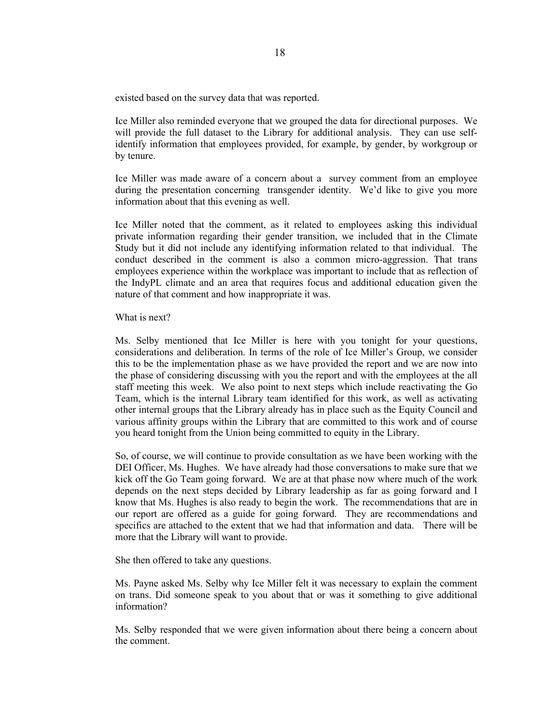existed based on the survey data that was reported.

Ice Miller also reminded everyone that we grouped the data for directional purposes. We will provide the full dataset to the Library for additional analysis. They can use selfidentify information that employees provided, for example, by gender, by workgroup or by tenure.

Ice Miller was made aware of a concern about a survey comment from an employee during the presentation concerning transgender identity. We'd like to give you more information about that this evening as well.

Ice Miller noted that the comment, as it related to employees asking this individual private information regarding their gender transition, we included that in the Climate Study but it did not include any identifying information related to that individual. The conduct described in the comment is also a common micro-aggression. That trans employees experience within the workplace was important to include that as reflection of the IndyPL climate and an area that requires focus and additional education given the nature of that comment and how inappropriate it was.

#### What is next?

Ms. Selby mentioned that Ice Miller is here with you tonight for your questions, considerations and deliberation. In terms of the role of Ice Miller's Group, we consider this to be the implementation phase as we have provided the report and we are now into the phase of considering discussing with you the report and with the employees at the all staff meeting this week. We also point to next steps which include reactivating the Go Team, which is the internal Library team identified for this work, as well as activating other internal groups that the Library already has in place such as the Equity Council and various affinity groups within the Library that are committed to this work and of course you heard tonight from the Union being committed to equity in the Library.

So, of course, we will continue to provide consultation as we have been working with the DEI Officer, Ms. Hughes. We have already had those conversations to make sure that we kick off the Go Team going forward. We are at that phase now where much of the work depends on the next steps decided by Library leadership as far as going forward and I know that Ms. Hughes is also ready to begin the work. The recommendations that are in our report are offered as a guide for going forward. They are recommendations and specifics are attached to the extent that we had that information and data. There will be more that the Library will want to provide.

She then offered to take any questions.

Ms. Payne asked Ms. Selby why Ice Miller felt it was necessary to explain the comment on trans. Did someone speak to you about that or was it something to give additional information?

Ms. Selby responded that we were given information about there being a concern about the comment.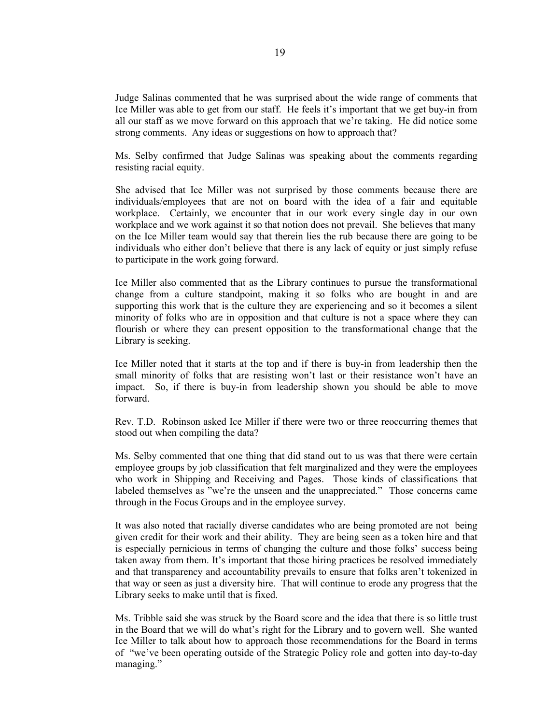Judge Salinas commented that he was surprised about the wide range of comments that Ice Miller was able to get from our staff. He feels it's important that we get buy-in from all our staff as we move forward on this approach that we're taking. He did notice some strong comments. Any ideas or suggestions on how to approach that?

Ms. Selby confirmed that Judge Salinas was speaking about the comments regarding resisting racial equity.

She advised that Ice Miller was not surprised by those comments because there are individuals/employees that are not on board with the idea of a fair and equitable workplace. Certainly, we encounter that in our work every single day in our own workplace and we work against it so that notion does not prevail. She believes that many on the Ice Miller team would say that therein lies the rub because there are going to be individuals who either don't believe that there is any lack of equity or just simply refuse to participate in the work going forward.

Ice Miller also commented that as the Library continues to pursue the transformational change from a culture standpoint, making it so folks who are bought in and are supporting this work that is the culture they are experiencing and so it becomes a silent minority of folks who are in opposition and that culture is not a space where they can flourish or where they can present opposition to the transformational change that the Library is seeking.

Ice Miller noted that it starts at the top and if there is buy-in from leadership then the small minority of folks that are resisting won't last or their resistance won't have an impact. So, if there is buy-in from leadership shown you should be able to move forward.

Rev. T.D. Robinson asked Ice Miller if there were two or three reoccurring themes that stood out when compiling the data?

Ms. Selby commented that one thing that did stand out to us was that there were certain employee groups by job classification that felt marginalized and they were the employees who work in Shipping and Receiving and Pages. Those kinds of classifications that labeled themselves as "we're the unseen and the unappreciated." Those concerns came through in the Focus Groups and in the employee survey.

It was also noted that racially diverse candidates who are being promoted are not being given credit for their work and their ability. They are being seen as a token hire and that is especially pernicious in terms of changing the culture and those folks' success being taken away from them. It's important that those hiring practices be resolved immediately and that transparency and accountability prevails to ensure that folks aren't tokenized in that way or seen as just a diversity hire. That will continue to erode any progress that the Library seeks to make until that is fixed.

Ms. Tribble said she was struck by the Board score and the idea that there is so little trust in the Board that we will do what's right for the Library and to govern well. She wanted Ice Miller to talk about how to approach those recommendations for the Board in terms of "we've been operating outside of the Strategic Policy role and gotten into day-to-day managing."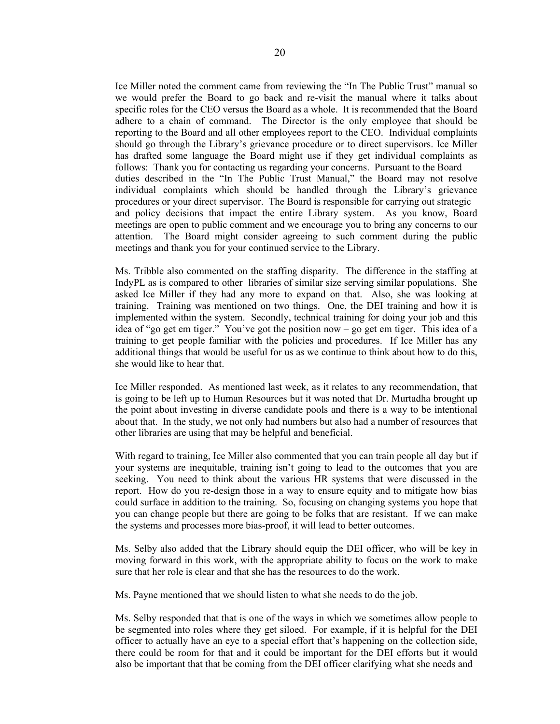Ice Miller noted the comment came from reviewing the "In The Public Trust" manual so we would prefer the Board to go back and re-visit the manual where it talks about specific roles for the CEO versus the Board as a whole. It is recommended that the Board adhere to a chain of command. The Director is the only employee that should be reporting to the Board and all other employees report to the CEO. Individual complaints should go through the Library's grievance procedure or to direct supervisors. Ice Miller has drafted some language the Board might use if they get individual complaints as follows: Thank you for contacting us regarding your concerns. Pursuant to the Board duties described in the "In The Public Trust Manual," the Board may not resolve individual complaints which should be handled through the Library's grievance procedures or your direct supervisor. The Board is responsible for carrying out strategic and policy decisions that impact the entire Library system. As you know, Board meetings are open to public comment and we encourage you to bring any concerns to our attention. The Board might consider agreeing to such comment during the public meetings and thank you for your continued service to the Library.

Ms. Tribble also commented on the staffing disparity. The difference in the staffing at IndyPL as is compared to other libraries of similar size serving similar populations. She asked Ice Miller if they had any more to expand on that. Also, she was looking at training. Training was mentioned on two things. One, the DEI training and how it is implemented within the system. Secondly, technical training for doing your job and this idea of "go get em tiger." You've got the position now – go get em tiger. This idea of a training to get people familiar with the policies and procedures. If Ice Miller has any additional things that would be useful for us as we continue to think about how to do this, she would like to hear that.

Ice Miller responded. As mentioned last week, as it relates to any recommendation, that is going to be left up to Human Resources but it was noted that Dr. Murtadha brought up the point about investing in diverse candidate pools and there is a way to be intentional about that. In the study, we not only had numbers but also had a number of resources that other libraries are using that may be helpful and beneficial.

With regard to training, Ice Miller also commented that you can train people all day but if your systems are inequitable, training isn't going to lead to the outcomes that you are seeking. You need to think about the various HR systems that were discussed in the report. How do you re-design those in a way to ensure equity and to mitigate how bias could surface in addition to the training. So, focusing on changing systems you hope that you can change people but there are going to be folks that are resistant. If we can make the systems and processes more bias-proof, it will lead to better outcomes.

Ms. Selby also added that the Library should equip the DEI officer, who will be key in moving forward in this work, with the appropriate ability to focus on the work to make sure that her role is clear and that she has the resources to do the work.

Ms. Payne mentioned that we should listen to what she needs to do the job.

Ms. Selby responded that that is one of the ways in which we sometimes allow people to be segmented into roles where they get siloed. For example, if it is helpful for the DEI officer to actually have an eye to a special effort that's happening on the collection side, there could be room for that and it could be important for the DEI efforts but it would also be important that that be coming from the DEI officer clarifying what she needs and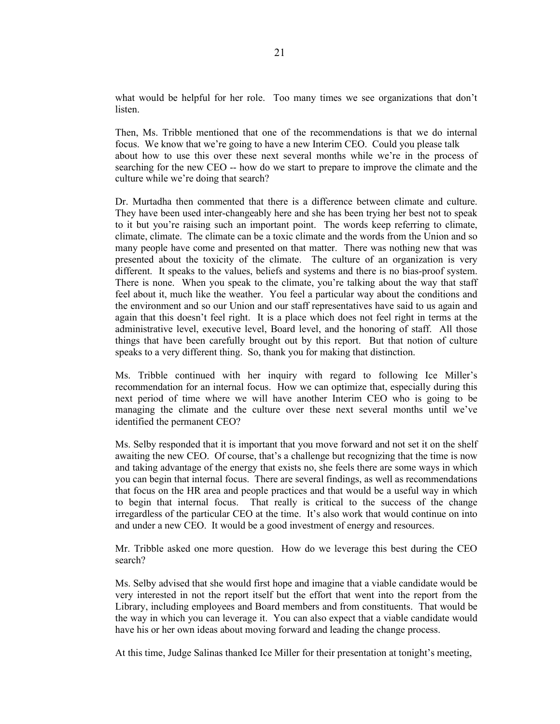what would be helpful for her role. Too many times we see organizations that don't listen.

Then, Ms. Tribble mentioned that one of the recommendations is that we do internal focus. We know that we're going to have a new Interim CEO. Could you please talk about how to use this over these next several months while we're in the process of searching for the new CEO -- how do we start to prepare to improve the climate and the culture while we're doing that search?

Dr. Murtadha then commented that there is a difference between climate and culture. They have been used inter-changeably here and she has been trying her best not to speak to it but you're raising such an important point. The words keep referring to climate, climate, climate. The climate can be a toxic climate and the words from the Union and so many people have come and presented on that matter. There was nothing new that was presented about the toxicity of the climate. The culture of an organization is very different. It speaks to the values, beliefs and systems and there is no bias-proof system. There is none. When you speak to the climate, you're talking about the way that staff feel about it, much like the weather. You feel a particular way about the conditions and the environment and so our Union and our staff representatives have said to us again and again that this doesn't feel right. It is a place which does not feel right in terms at the administrative level, executive level, Board level, and the honoring of staff. All those things that have been carefully brought out by this report. But that notion of culture speaks to a very different thing. So, thank you for making that distinction.

Ms. Tribble continued with her inquiry with regard to following Ice Miller's recommendation for an internal focus. How we can optimize that, especially during this next period of time where we will have another Interim CEO who is going to be managing the climate and the culture over these next several months until we've identified the permanent CEO?

Ms. Selby responded that it is important that you move forward and not set it on the shelf awaiting the new CEO. Of course, that's a challenge but recognizing that the time is now and taking advantage of the energy that exists no, she feels there are some ways in which you can begin that internal focus. There are several findings, as well as recommendations that focus on the HR area and people practices and that would be a useful way in which to begin that internal focus. That really is critical to the success of the change irregardless of the particular CEO at the time. It's also work that would continue on into and under a new CEO. It would be a good investment of energy and resources.

Mr. Tribble asked one more question. How do we leverage this best during the CEO search?

Ms. Selby advised that she would first hope and imagine that a viable candidate would be very interested in not the report itself but the effort that went into the report from the Library, including employees and Board members and from constituents. That would be the way in which you can leverage it. You can also expect that a viable candidate would have his or her own ideas about moving forward and leading the change process.

At this time, Judge Salinas thanked Ice Miller for their presentation at tonight's meeting,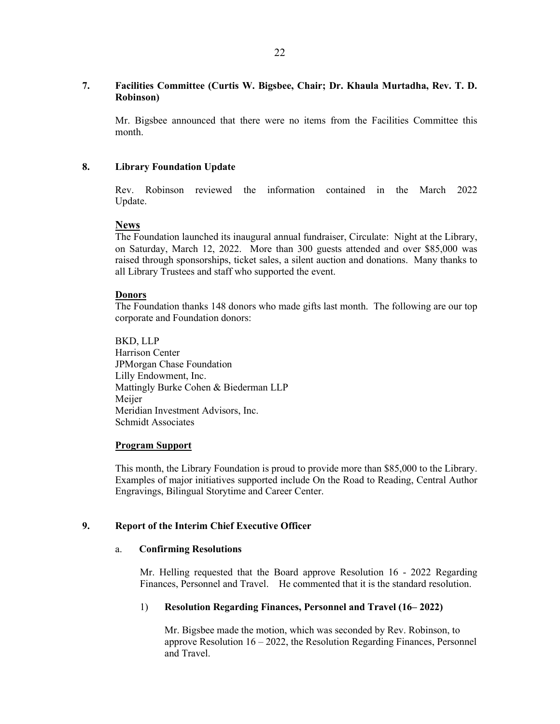# **7. Facilities Committee (Curtis W. Bigsbee, Chair; Dr. Khaula Murtadha, Rev. T. D. Robinson)**

Mr. Bigsbee announced that there were no items from the Facilities Committee this month.

### **8. Library Foundation Update**

Rev. Robinson reviewed the information contained in the March 2022 Update.

#### **News**

The Foundation launched its inaugural annual fundraiser, Circulate: Night at the Library, on Saturday, March 12, 2022. More than 300 guests attended and over \$85,000 was raised through sponsorships, ticket sales, a silent auction and donations. Many thanks to all Library Trustees and staff who supported the event.

#### **Donors**

The Foundation thanks 148 donors who made gifts last month. The following are our top corporate and Foundation donors:

BKD, LLP Harrison Center JPMorgan Chase Foundation Lilly Endowment, Inc. Mattingly Burke Cohen & Biederman LLP Meijer Meridian Investment Advisors, Inc. Schmidt Associates

#### **Program Support**

This month, the Library Foundation is proud to provide more than \$85,000 to the Library. Examples of major initiatives supported include On the Road to Reading, Central Author Engravings, Bilingual Storytime and Career Center.

# **9. Report of the Interim Chief Executive Officer**

#### a. **Confirming Resolutions**

Mr. Helling requested that the Board approve Resolution 16 - 2022 Regarding Finances, Personnel and Travel. He commented that it is the standard resolution.

#### 1) **Resolution Regarding Finances, Personnel and Travel (16– 2022)**

Mr. Bigsbee made the motion, which was seconded by Rev. Robinson, to approve Resolution 16 – 2022, the Resolution Regarding Finances, Personnel and Travel.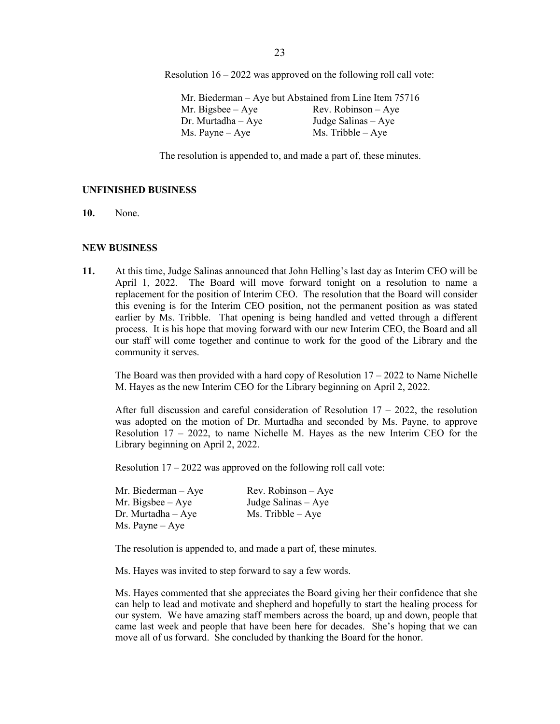Resolution 16 – 2022 was approved on the following roll call vote:

Mr. Biederman – Aye but Abstained from Line Item 75716 Mr. Bigsbee – Aye Rev. Robinson – Aye<br>Dr. Murtadha – Aye Judge Salinas – Aye Judge Salinas – Aye Ms. Payne – Aye Ms. Tribble – Aye

The resolution is appended to, and made a part of, these minutes.

### **UNFINISHED BUSINESS**

**10.** None.

#### **NEW BUSINESS**

**11.** At this time, Judge Salinas announced that John Helling's last day as Interim CEO will be April 1, 2022. The Board will move forward tonight on a resolution to name a replacement for the position of Interim CEO. The resolution that the Board will consider this evening is for the Interim CEO position, not the permanent position as was stated earlier by Ms. Tribble. That opening is being handled and vetted through a different process. It is his hope that moving forward with our new Interim CEO, the Board and all our staff will come together and continue to work for the good of the Library and the community it serves.

The Board was then provided with a hard copy of Resolution  $17 - 2022$  to Name Nichelle M. Hayes as the new Interim CEO for the Library beginning on April 2, 2022.

After full discussion and careful consideration of Resolution  $17 - 2022$ , the resolution was adopted on the motion of Dr. Murtadha and seconded by Ms. Payne, to approve Resolution 17 – 2022, to name Nichelle M. Hayes as the new Interim CEO for the Library beginning on April 2, 2022.

Resolution 17 – 2022 was approved on the following roll call vote:

| Mr. Biederman $-$ Aye    | $Rev. Robinson - Ave$ |
|--------------------------|-----------------------|
| Mr. Bigsbee $-$ Aye      | Judge Salinas – Aye   |
| $Dr.$ Murtadha $-$ Aye   | $Ms.$ Tribble $-$ Aye |
| $Ms. \text{Payne} - Aye$ |                       |

The resolution is appended to, and made a part of, these minutes.

Ms. Hayes was invited to step forward to say a few words.

Ms. Hayes commented that she appreciates the Board giving her their confidence that she can help to lead and motivate and shepherd and hopefully to start the healing process for our system. We have amazing staff members across the board, up and down, people that came last week and people that have been here for decades. She's hoping that we can move all of us forward. She concluded by thanking the Board for the honor.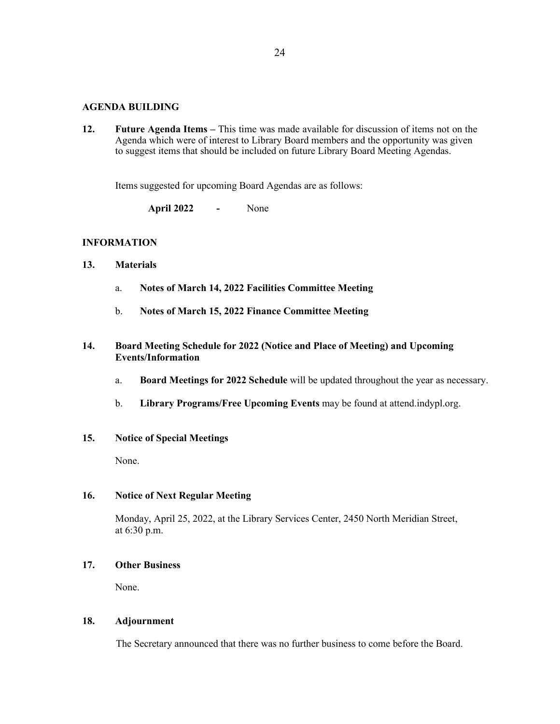# **AGENDA BUILDING**

**12. Future Agenda Items –** This time was made available for discussion of items not on the Agenda which were of interest to Library Board members and the opportunity was given to suggest items that should be included on future Library Board Meeting Agendas.

Items suggested for upcoming Board Agendas are as follows:

**April 2022 -** None

# **INFORMATION**

- **13. Materials** 
	- a. **Notes of March 14, 2022 Facilities Committee Meeting**
	- b. **Notes of March 15, 2022 Finance Committee Meeting**

# **14. Board Meeting Schedule for 2022 (Notice and Place of Meeting) and Upcoming Events/Information**

- a. **Board Meetings for 2022 Schedule** will be updated throughout the year as necessary.
- b. **Library Programs/Free Upcoming Events** may be found at attend.indypl.org.

# **15. Notice of Special Meetings**

None.

# **16. Notice of Next Regular Meeting**

Monday, April 25, 2022, at the Library Services Center, 2450 North Meridian Street, at 6:30 p.m.

# **17. Other Business**

None.

# **18. Adjournment**

The Secretary announced that there was no further business to come before the Board.